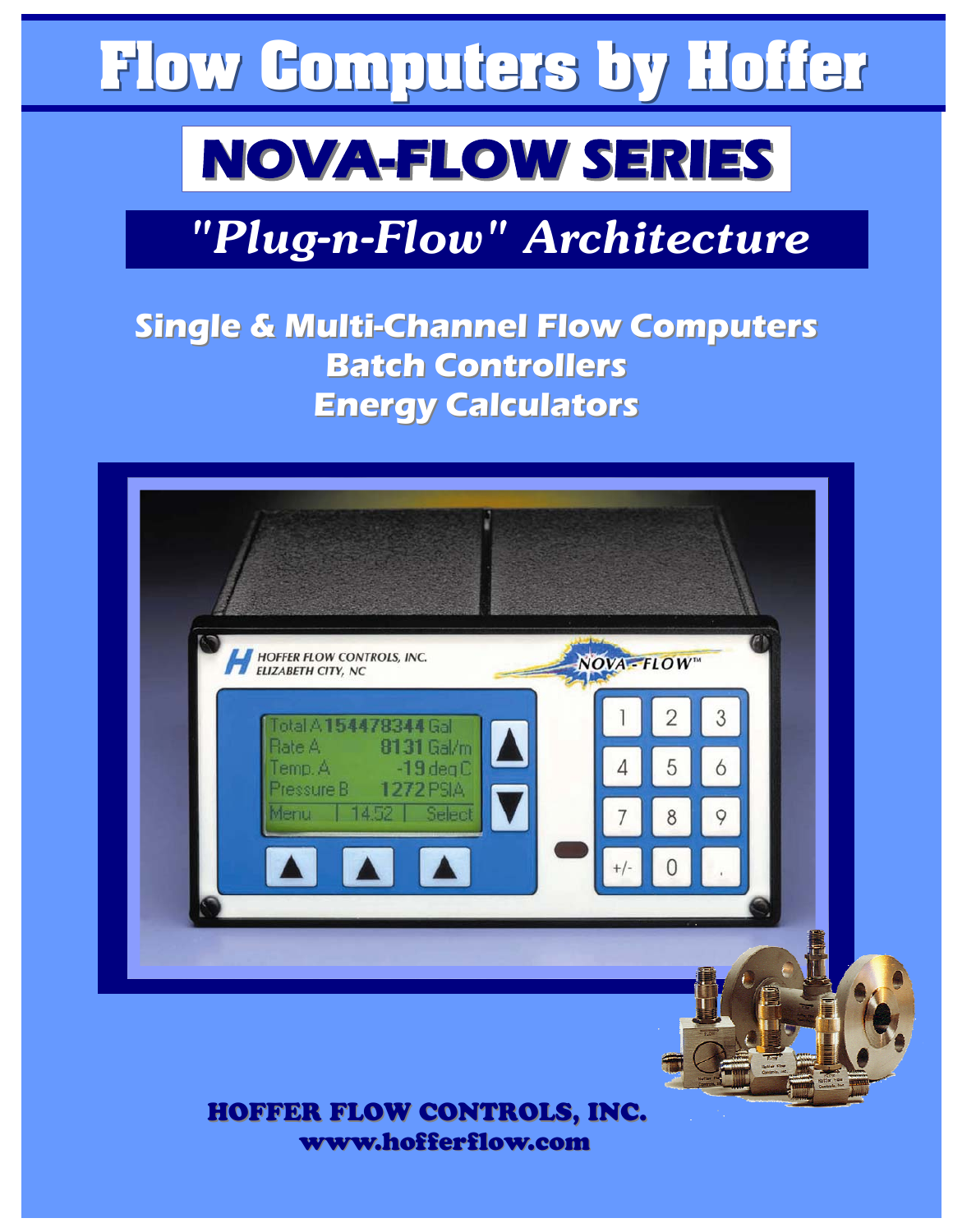# **Flow Computers by Hoffer Flow Computers by Hoffer**

# **NOVA-FLOW SERIES FLOW SERIES**

## *"Plug-n-Flow" Architecture*

**Single & Multi-Channel Flow Computers Batch Controllers Batch Controllers Energy Calculators Energy Calculators**



HOFFER FLOW CONTROLS, INC. www.hofferflow.com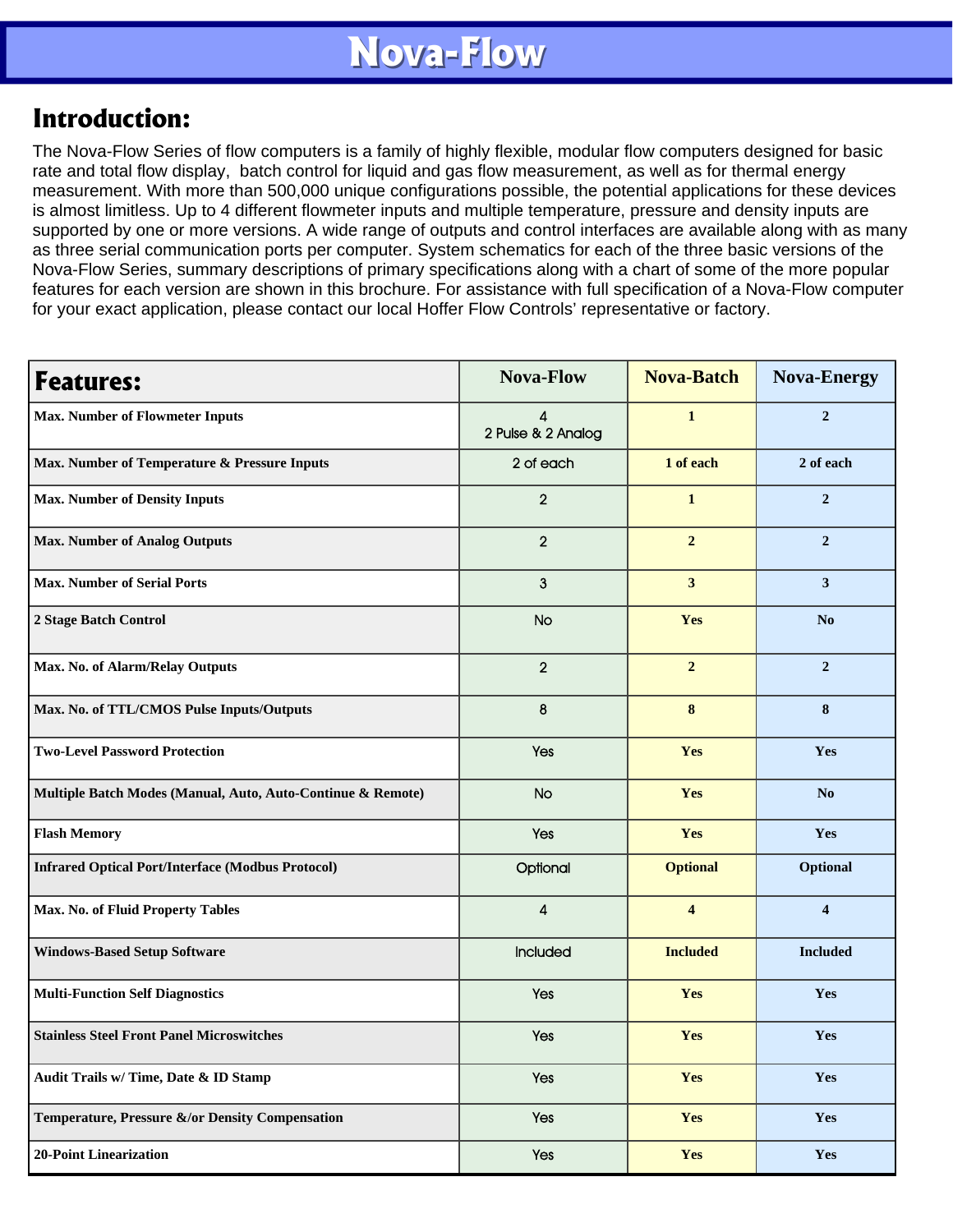### **Introduction:**

The Nova-Flow Series of flow computers is a family of highly flexible, modular flow computers designed for basic rate and total flow display, batch control for liquid and gas flow measurement, as well as for thermal energy measurement. With more than 500,000 unique configurations possible, the potential applications for these devices is almost limitless. Up to 4 different flowmeter inputs and multiple temperature, pressure and density inputs are supported by one or more versions. A wide range of outputs and control interfaces are available along with as many as three serial communication ports per computer. System schematics for each of the three basic versions of the Nova-Flow Series, summary descriptions of primary specifications along with a chart of some of the more popular features for each version are shown in this brochure. For assistance with full specification of a Nova-Flow computer for your exact application, please contact our local Hoffer Flow Controls' representative or factory.

| <b>Features:</b>                                            | <b>Nova-Flow</b>        | <b>Nova-Batch</b>       | <b>Nova-Energy</b>      |
|-------------------------------------------------------------|-------------------------|-------------------------|-------------------------|
| <b>Max. Number of Flowmeter Inputs</b>                      | 4<br>2 Pulse & 2 Analog | 1                       | $\overline{2}$          |
| Max. Number of Temperature & Pressure Inputs                | 2 of each               | 1 of each               | 2 of each               |
| <b>Max. Number of Density Inputs</b>                        | $\mathbf{2}$            | $\mathbf{1}$            | $\boldsymbol{2}$        |
| <b>Max. Number of Analog Outputs</b>                        | $\overline{2}$          | $\boldsymbol{2}$        | $\overline{2}$          |
| <b>Max. Number of Serial Ports</b>                          | $\mathbf{3}$            | $\mathbf{3}$            | $\mathbf{3}$            |
| 2 Stage Batch Control                                       | <b>No</b>               | Yes                     | N <sub>o</sub>          |
| Max. No. of Alarm/Relay Outputs                             | $\overline{2}$          | $\overline{2}$          | $\overline{2}$          |
| Max. No. of TTL/CMOS Pulse Inputs/Outputs                   | 8                       | $\bf{8}$                | ${\bf 8}$               |
| <b>Two-Level Password Protection</b>                        | Yes                     | Yes                     | Yes                     |
| Multiple Batch Modes (Manual, Auto, Auto-Continue & Remote) | <b>No</b>               | Yes                     | N <sub>0</sub>          |
| <b>Flash Memory</b>                                         | Yes                     | Yes                     | Yes                     |
| <b>Infrared Optical Port/Interface (Modbus Protocol)</b>    | Optional                | <b>Optional</b>         | <b>Optional</b>         |
| Max. No. of Fluid Property Tables                           | 4                       | $\overline{\mathbf{4}}$ | $\overline{\mathbf{4}}$ |
| <b>Windows-Based Setup Software</b>                         | Included                | <b>Included</b>         | <b>Included</b>         |
| <b>Multi-Function Self Diagnostics</b>                      | Yes                     | Yes                     | Yes                     |
| <b>Stainless Steel Front Panel Microswitches</b>            | Yes                     | Yes                     | Yes                     |
| Audit Trails w/ Time, Date & ID Stamp                       | Yes                     | Yes                     | Yes                     |
| Temperature, Pressure &/or Density Compensation             | Yes                     | Yes                     | Yes                     |
| 20-Point Linearization                                      | Yes                     | Yes                     | Yes                     |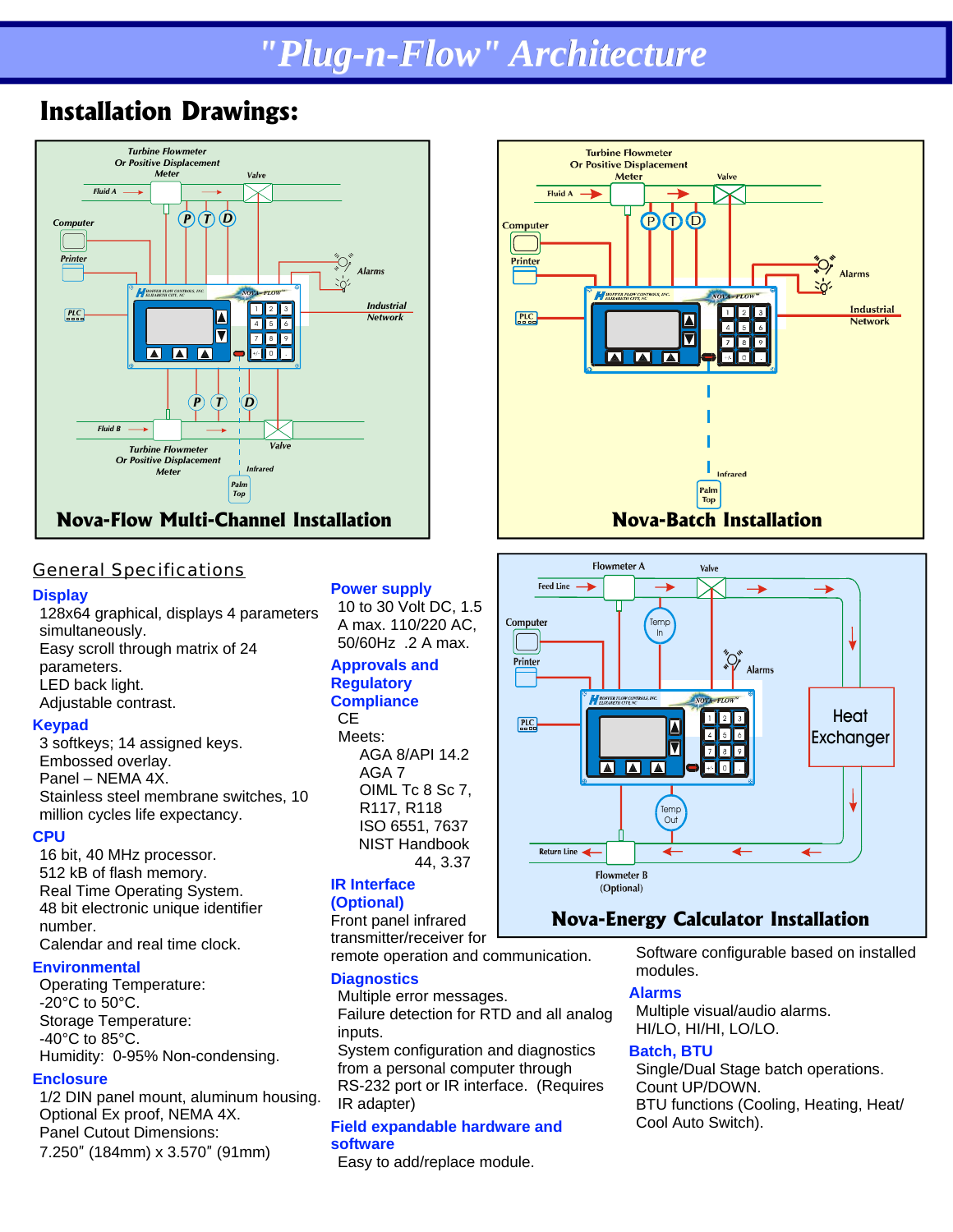## *"Plug-n-Flow" Architecture Flow" Architecture*

### **Installation Drawings:**



#### *General Specifications*

#### **Display**

128x64 graphical, displays 4 parameters simultaneously. Easy scroll through matrix of 24 parameters. LED back light. Adjustable contrast.

#### **Keypad**

3 softkeys; 14 assigned keys. Embossed overlay. Panel – NEMA 4X. Stainless steel membrane switches, 10 million cycles life expectancy.

#### **CPU**

16 bit, 40 MHz processor. 512 kB of flash memory. Real Time Operating System. 48 bit electronic unique identifier number. Calendar and real time clock.

#### **Environmental**

Operating Temperature: -20°C to 50°C. Storage Temperature:  $-40^{\circ}$ C to 85 $^{\circ}$ C. Humidity: 0-95% Non-condensing.

#### **Enclosure**

1/2 DIN panel mount, aluminum housing. Optional Ex proof, NEMA 4X. Panel Cutout Dimensions: 7.250" (184mm) x 3.570" (91mm)

#### **Power supply**

10 to 30 Volt DC, 1.5 A max. 110/220 AC, 50/60Hz .2 A max.

#### **Approvals and Regulatory Compliance**

CE Meets: AGA 8/API 14.2 AGA 7 OIML Tc 8 Sc 7, R117, R118 ISO 6551, 7637 NIST Handbook 44, 3.37

#### **IR Interface (Optional)**

Front panel infrared

transmitter/receiver for remote operation and communication.

#### **Diagnostics**

Multiple error messages. Failure detection for RTD and all analog inputs.

System configuration and diagnostics from a personal computer through RS-232 port or IR interface. (Requires IR adapter)

#### **Field expandable hardware and software**

Easy to add/replace module.





#### **Nova-Energy Calculator Installation**

Software configurable based on installed modules.

#### **Alarms**

Multiple visual/audio alarms. HI/LO, HI/HI, LO/LO.

#### **Batch, BTU**

Single/Dual Stage batch operations. Count UP/DOWN. BTU functions (Cooling, Heating, Heat/ Cool Auto Switch).